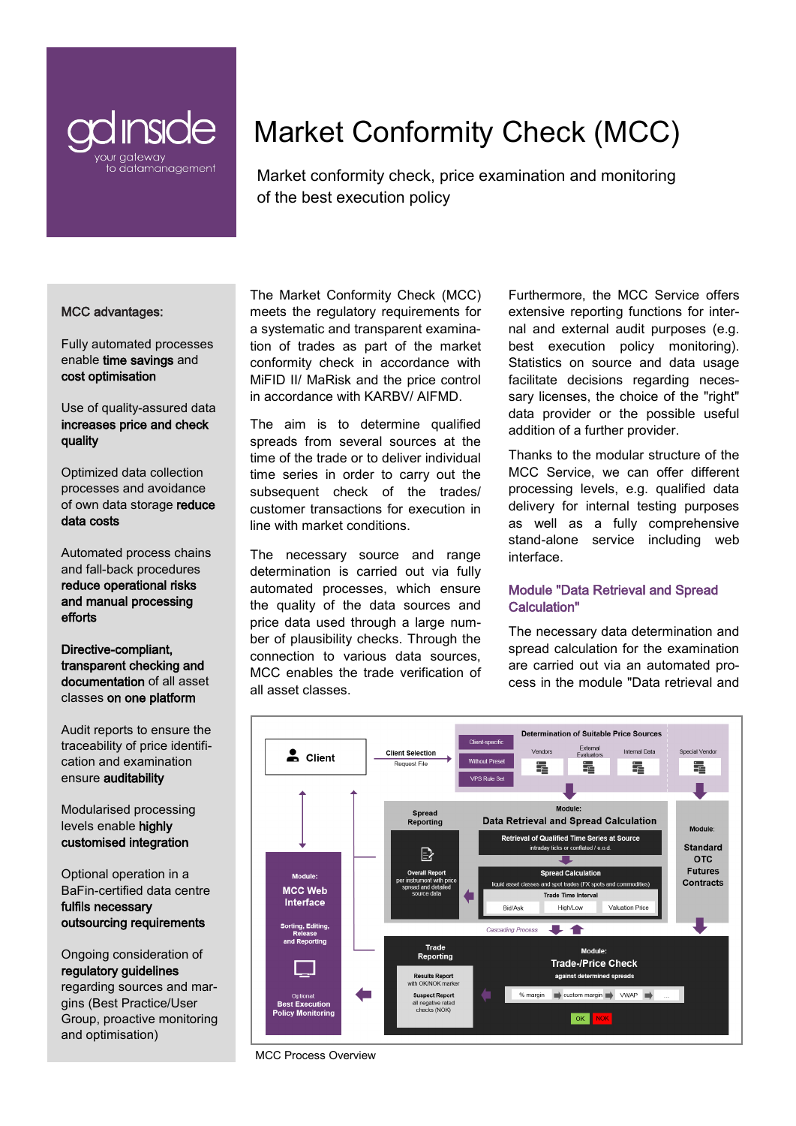

## Market Conformity Check (MCC)

Market conformity check, price examination and monitoring of the best execution policy

#### MCC advantages:

Fully automated processes enable time savings and cost optimisation

Use of quality-assured data increases price and check quality

Optimized data collection processes and avoidance of own data storage reduce data costs

Automated process chains and fall-back procedures reduce operational risks and manual processing efforts

Directive-compliant, transparent checking and documentation of all asset classes on one platform

Audit reports to ensure the traceability of price identification and examination ensure auditability

Modularised processing levels enable highly customised integration

Optional operation in a BaFin-certified data centre fulfils necessary outsourcing requirements

Ongoing consideration of regulatory guidelines regarding sources and margins (Best Practice/User Group, proactive monitoring and optimisation)

The Market Conformity Check (MCC) meets the regulatory requirements for a systematic and transparent examination of trades as part of the market conformity check in accordance with MiFID II/ MaRisk and the price control in accordance with KARBV/ AIFMD.

The aim is to determine qualified spreads from several sources at the time of the trade or to deliver individual time series in order to carry out the subsequent check of the trades/ customer transactions for execution in line with market conditions.

The necessary source and range determination is carried out via fully automated processes, which ensure the quality of the data sources and price data used through a large number of plausibility checks. Through the connection to various data sources, MCC enables the trade verification of all asset classes.

Furthermore, the MCC Service offers extensive reporting functions for internal and external audit purposes (e.g. best execution policy monitoring). Statistics on source and data usage facilitate decisions regarding necessary licenses, the choice of the "right" data provider or the possible useful addition of a further provider.

Thanks to the modular structure of the MCC Service, we can offer different processing levels, e.g. qualified data delivery for internal testing purposes as well as a fully comprehensive stand-alone service including web interface.

### Module "Data Retrieval and Spread Calculation"

The necessary data determination and spread calculation for the examination are carried out via an automated process in the module "Data retrieval and



MCC Process Overview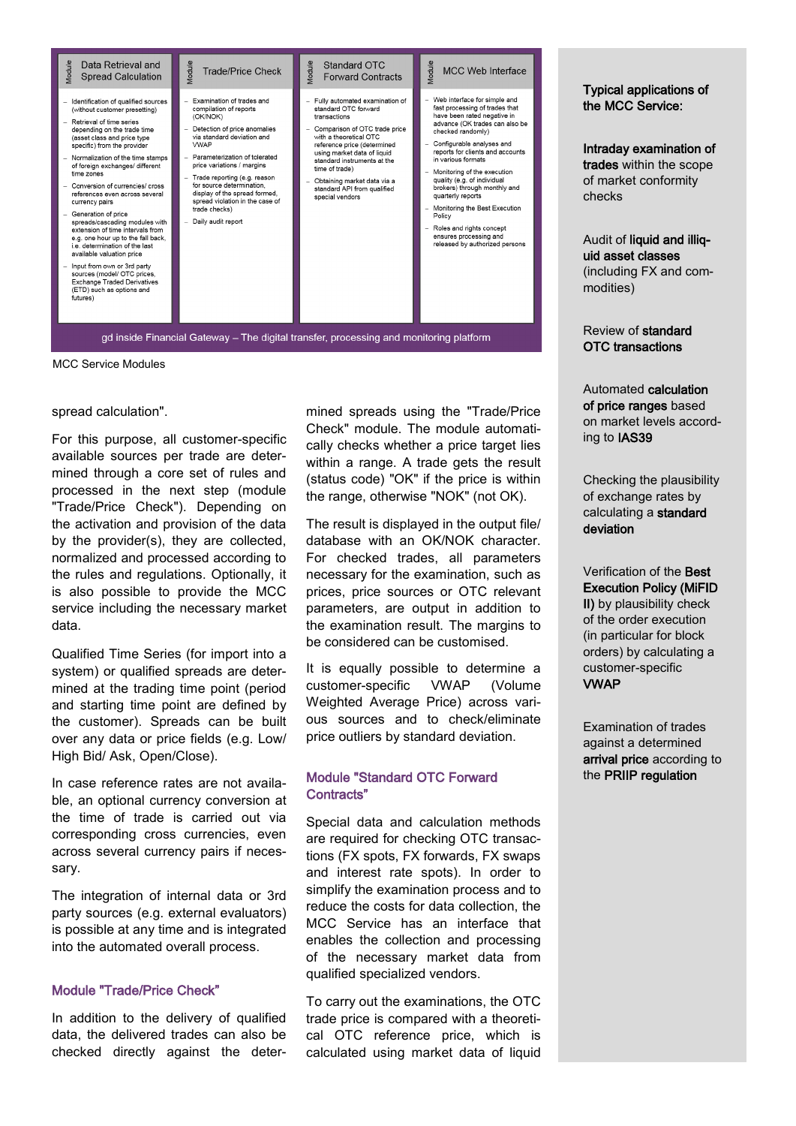

MCC Service Modules

spread calculation".

For this purpose, all customer-specific available sources per trade are determined through a core set of rules and processed in the next step (module "Trade/Price Check"). Depending on the activation and provision of the data by the provider(s), they are collected, normalized and processed according to the rules and regulations. Optionally, it is also possible to provide the MCC service including the necessary market data.

Qualified Time Series (for import into a system) or qualified spreads are determined at the trading time point (period and starting time point are defined by the customer). Spreads can be built over any data or price fields (e.g. Low/ High Bid/ Ask, Open/Close).

In case reference rates are not available, an optional currency conversion at the time of trade is carried out via corresponding cross currencies, even across several currency pairs if necessary.

The integration of internal data or 3rd party sources (e.g. external evaluators) is possible at any time and is integrated into the automated overall process.

#### Module "Trade/Price Check"

In addition to the delivery of qualified data, the delivered trades can also be checked directly against the deter-

mined spreads using the "Trade/Price Check" module. The module automatically checks whether a price target lies within a range. A trade gets the result (status code) "OK" if the price is within the range, otherwise "NOK" (not OK).

The result is displayed in the output file/ database with an OK/NOK character. For checked trades, all parameters necessary for the examination, such as prices, price sources or OTC relevant parameters, are output in addition to the examination result. The margins to be considered can be customised.

It is equally possible to determine a customer-specific VWAP (Volume Weighted Average Price) across various sources and to check/eliminate price outliers by standard deviation.

#### Module "Standard OTC Forward Contracts"

Special data and calculation methods are required for checking OTC transactions (FX spots, FX forwards, FX swaps and interest rate spots). In order to simplify the examination process and to reduce the costs for data collection, the MCC Service has an interface that enables the collection and processing of the necessary market data from qualified specialized vendors.

To carry out the examinations, the OTC trade price is compared with a theoretical OTC reference price, which is calculated using market data of liquid Typical applications of the MCC Service:

Intraday examination of trades within the scope of market conformity checks

Audit of liquid and illiquid asset classes (including FX and commodities)

Review of standard OTC transactions

Automated calculation of price ranges based on market levels according to IAS39

Checking the plausibility of exchange rates by calculating a standard deviation

Verification of the Best Execution Policy (MiFID II) by plausibility check of the order execution (in particular for block orders) by calculating a customer-specific **VWAP** 

Examination of trades against a determined arrival price according to the PRIIP regulation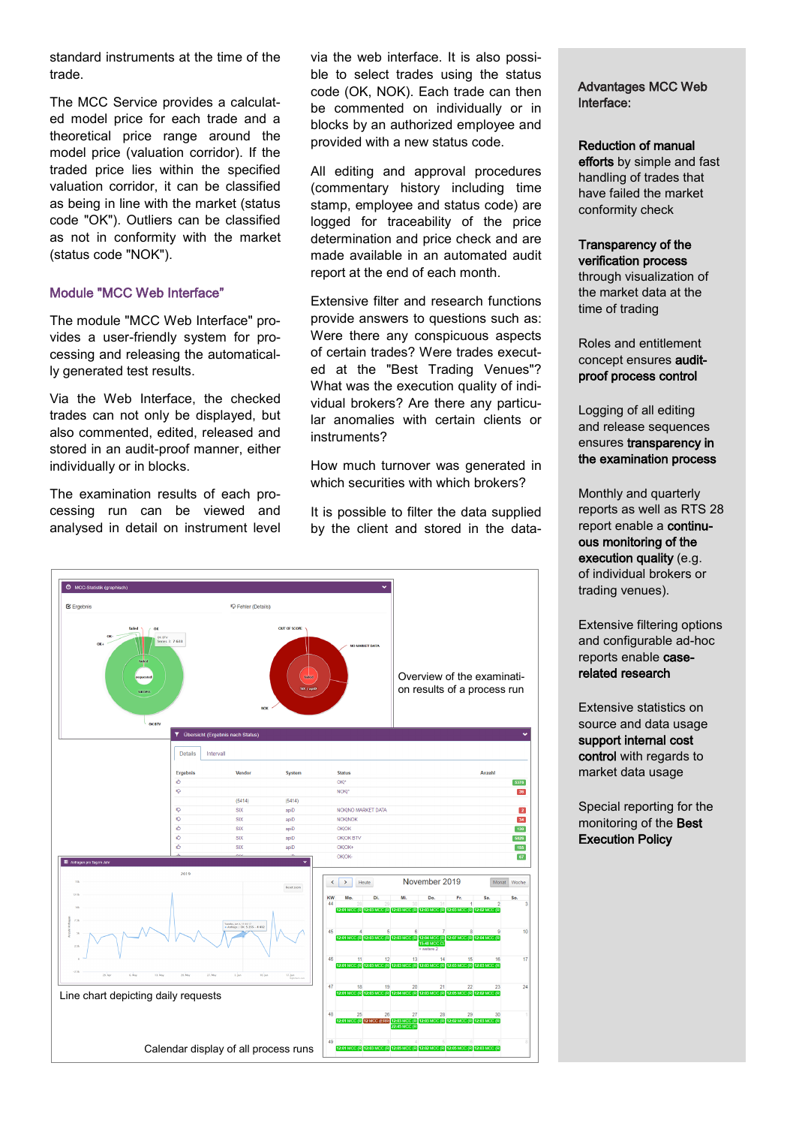standard instruments at the time of the trade.

The MCC Service provides a calculated model price for each trade and a theoretical price range around the model price (valuation corridor). If the traded price lies within the specified valuation corridor, it can be classified as being in line with the market (status code "OK"). Outliers can be classified as not in conformity with the market (status code "NOK").

#### Module "MCC Web Interface"

The module "MCC Web Interface" provides a user-friendly system for processing and releasing the automatically generated test results.

Via the Web Interface, the checked trades can not only be displayed, but also commented, edited, released and stored in an audit-proof manner, either individually or in blocks.

The examination results of each processing run can be viewed and analysed in detail on instrument level via the web interface. It is also possible to select trades using the status code (OK, NOK). Each trade can then be commented on individually or in blocks by an authorized employee and provided with a new status code.

All editing and approval procedures (commentary history including time stamp, employee and status code) are logged for traceability of the price determination and price check and are made available in an automated audit report at the end of each month.

Extensive filter and research functions provide answers to questions such as: Were there any conspicuous aspects of certain trades? Were trades executed at the "Best Trading Venues"? What was the execution quality of individual brokers? Are there any particular anomalies with certain clients or instruments?

How much turnover was generated in which securities with which brokers?

It is possible to filter the data supplied by the client and stored in the data-



Advantages MCC Web Interface:

Reduction of manual efforts by simple and fast handling of trades that have failed the market conformity check

Transparency of the verification process through visualization of the market data at the time of trading

Roles and entitlement concept ensures auditproof process control

Logging of all editing and release sequences ensures transparency in the examination process

Monthly and quarterly reports as well as RTS 28 report enable a continuous monitoring of the execution quality (e.g. of individual brokers or trading venues).

Extensive filtering options and configurable ad-hoc reports enable caserelated research

Extensive statistics on source and data usage support internal cost control with regards to market data usage

Special reporting for the monitoring of the Best Execution Policy